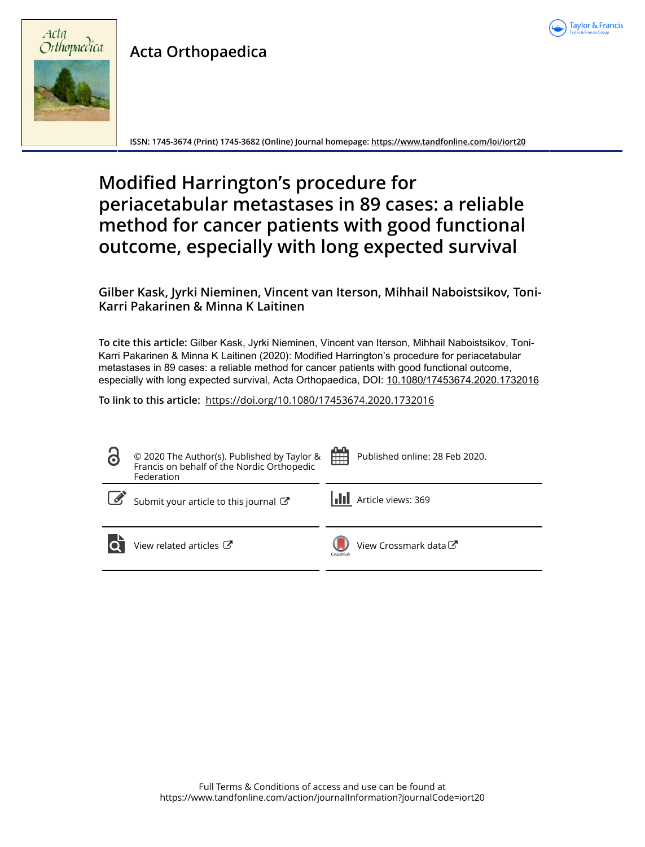

# **Acta Orthopaedica**



**ISSN: 1745-3674 (Print) 1745-3682 (Online) Journal homepage:<https://www.tandfonline.com/loi/iort20>**

# **Modified Harrington's procedure for periacetabular metastases in 89 cases: a reliable method for cancer patients with good functional outcome, especially with long expected survival**

## **Gilber Kask, Jyrki Nieminen, Vincent van Iterson, Mihhail Naboistsikov, Toni-Karri Pakarinen & Minna K Laitinen**

**To cite this article:** Gilber Kask, Jyrki Nieminen, Vincent van Iterson, Mihhail Naboistsikov, Toni-Karri Pakarinen & Minna K Laitinen (2020): Modified Harrington's procedure for periacetabular metastases in 89 cases: a reliable method for cancer patients with good functional outcome, especially with long expected survival, Acta Orthopaedica, DOI: [10.1080/17453674.2020.1732016](https://www.tandfonline.com/action/showCitFormats?doi=10.1080/17453674.2020.1732016)

**To link to this article:** <https://doi.org/10.1080/17453674.2020.1732016>

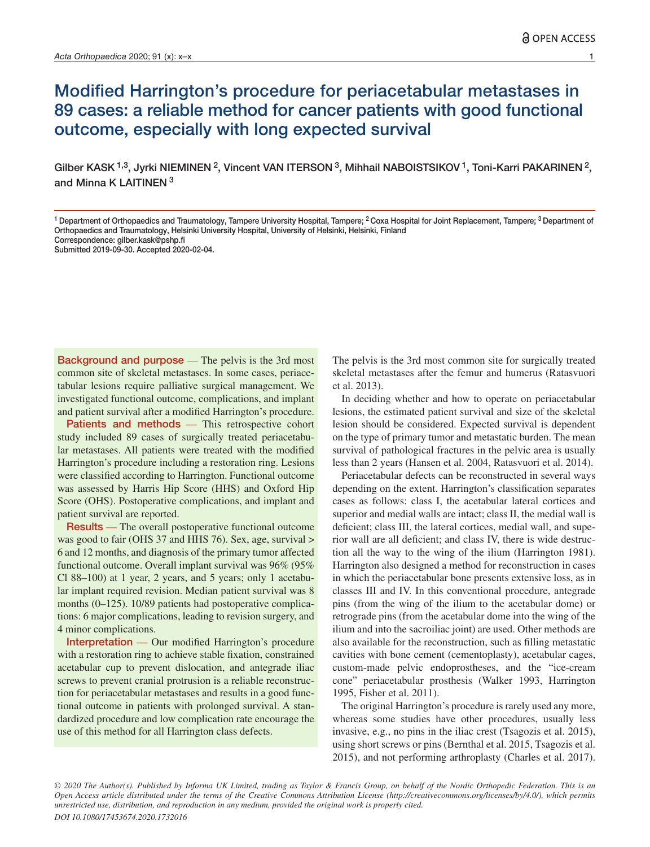# Modified Harrington's procedure for periacetabular metastases in 89 cases: a reliable method for cancer patients with good functional outcome, especially with long expected survival

Gilber KASK <sup>1,3</sup>, Jyrki NIEMINEN <sup>2</sup>, Vincent VAN ITERSON <sup>3</sup>, Mihhail NABOISTSIKOV <sup>1</sup>, Toni-Karri PAKARINEN <sup>2</sup>, and Minna K I AITINEN  $3$ 

Background and purpose — The pelvis is the 3rd most common site of skeletal metastases. In some cases, periacetabular lesions require palliative surgical management. We investigated functional outcome, complications, and implant and patient survival after a modified Harrington's procedure.

Patients and methods — This retrospective cohort study included 89 cases of surgically treated periacetabular metastases. All patients were treated with the modified Harrington's procedure including a restoration ring. Lesions were classified according to Harrington. Functional outcome was assessed by Harris Hip Score (HHS) and Oxford Hip Score (OHS). Postoperative complications, and implant and patient survival are reported.

Results — The overall postoperative functional outcome was good to fair (OHS 37 and HHS 76). Sex, age, survival > 6 and 12 months, and diagnosis of the primary tumor affected functional outcome. Overall implant survival was 96% (95% Cl 88–100) at 1 year, 2 years, and 5 years; only 1 acetabular implant required revision. Median patient survival was 8 months (0–125). 10/89 patients had postoperative complications: 6 major complications, leading to revision surgery, and 4 minor complications.

Interpretation — Our modified Harrington's procedure with a restoration ring to achieve stable fixation, constrained acetabular cup to prevent dislocation, and antegrade iliac screws to prevent cranial protrusion is a reliable reconstruction for periacetabular metastases and results in a good functional outcome in patients with prolonged survival. A standardized procedure and low complication rate encourage the use of this method for all Harrington class defects.

The pelvis is the 3rd most common site for surgically treated skeletal metastases after the femur and humerus (Ratasvuori et al. 2013).

In deciding whether and how to operate on periacetabular lesions, the estimated patient survival and size of the skeletal lesion should be considered. Expected survival is dependent on the type of primary tumor and metastatic burden. The mean survival of pathological fractures in the pelvic area is usually less than 2 years (Hansen et al. 2004, Ratasvuori et al. 2014).

Periacetabular defects can be reconstructed in several ways depending on the extent. Harrington's classification separates cases as follows: class I, the acetabular lateral cortices and superior and medial walls are intact; class II, the medial wall is deficient; class III, the lateral cortices, medial wall, and superior wall are all deficient; and class IV, there is wide destruction all the way to the wing of the ilium (Harrington 1981). Harrington also designed a method for reconstruction in cases in which the periacetabular bone presents extensive loss, as in classes III and IV. In this conventional procedure, antegrade pins (from the wing of the ilium to the acetabular dome) or retrograde pins (from the acetabular dome into the wing of the ilium and into the sacroiliac joint) are used. Other methods are also available for the reconstruction, such as filling metastatic cavities with bone cement (cementoplasty), acetabular cages, custom-made pelvic endoprostheses, and the "ice-cream cone" periacetabular prosthesis (Walker 1993, Harrington 1995, Fisher et al. 2011).

The original Harrington's procedure is rarely used any more, whereas some studies have other procedures, usually less invasive, e.g., no pins in the iliac crest (Tsagozis et al. 2015), using short screws or pins (Bernthal et al. 2015, Tsagozis et al. 2015), and not performing arthroplasty (Charles et al. 2017).

*© 2020 The Author(s). Published by Informa UK Limited, trading as Taylor & Francis Group, on behalf of the Nordic Orthopedic Federation. This is an Open Access article distributed under the terms of the Creative Commons Attribution License (http://creativecommons.org/licenses/by/4.0/), which permits unrestricted use, distribution, and reproduction in any medium, provided the original work is properly cited. DOI 10.1080/17453674.2020.1732016*

<sup>&</sup>lt;sup>1</sup> Department of Orthopaedics and Traumatology, Tampere University Hospital, Tampere; <sup>2</sup> Coxa Hospital for Joint Replacement, Tampere; <sup>3</sup> Department of Orthopaedics and Traumatology, Helsinki University Hospital, University of Helsinki, Helsinki, Finland Correspondence: gilber.kask@pshp.fi

Submitted 2019-09-30. Accepted 2020-02-04.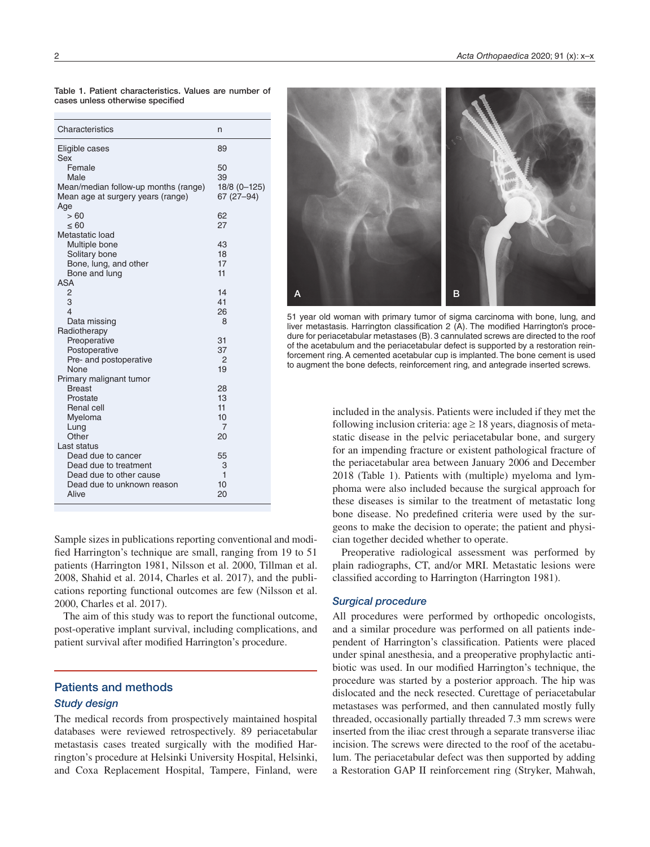| Characteristics                      | n              |
|--------------------------------------|----------------|
| Eligible cases                       | 89             |
| Sex<br>Female                        | 50             |
| Male                                 | 39             |
| Mean/median follow-up months (range) | 18/8 (0-125)   |
| Mean age at surgery years (range)    | $67(27-94)$    |
| Age                                  |                |
| > 60                                 | 62             |
| $\leq 60$                            | 27             |
| Metastatic load                      | 43             |
| Multiple bone<br>Solitary bone       | 18             |
| Bone, lung, and other                | 17             |
| Bone and lung                        | 11             |
| <b>ASA</b>                           |                |
| $\overline{2}$                       | 14             |
| 3                                    | 41             |
| 4                                    | 26             |
| Data missing                         | 8              |
| Radiotherapy<br>Preoperative         | 31             |
| Postoperative                        | 37             |
| Pre- and postoperative               | $\overline{2}$ |
| None                                 | 19             |
| Primary malignant tumor              |                |
| <b>Breast</b>                        | 28             |
| Prostate                             | 13             |
| <b>Renal cell</b>                    | 11             |
| Myeloma                              | 10<br>7        |
| Lung<br>Other                        | 20             |
| Last status                          |                |
| Dead due to cancer                   | 55             |
| Dead due to treatment                | 3              |
| Dead due to other cause              | 1              |
| Dead due to unknown reason           | 10             |
| Alive                                | 20             |

Table 1. Patient characteristics. Values are number of cases unless otherwise specified

Sample sizes in publications reporting conventional and modified Harrington's technique are small, ranging from 19 to 51 patients (Harrington 1981, Nilsson et al. 2000, Tillman et al. 2008, Shahid et al. 2014, Charles et al. 2017), and the publications reporting functional outcomes are few (Nilsson et al. 2000, Charles et al. 2017).

The aim of this study was to report the functional outcome, post-operative implant survival, including complications, and patient survival after modified Harrington's procedure.

## Patients and methods

#### *Study design*

The medical records from prospectively maintained hospital databases were reviewed retrospectively. 89 periacetabular metastasis cases treated surgically with the modified Harrington's procedure at Helsinki University Hospital, Helsinki, and Coxa Replacement Hospital, Tampere, Finland, were



51 year old woman with primary tumor of sigma carcinoma with bone, lung, and liver metastasis. Harrington classification 2 (A). The modified Harrington's procedure for periacetabular metastases (B). 3 cannulated screws are directed to the roof of the acetabulum and the periacetabular defect is supported by a restoration reinforcement ring. A cemented acetabular cup is implanted. The bone cement is used to augment the bone defects, reinforcement ring, and antegrade inserted screws.

included in the analysis. Patients were included if they met the following inclusion criteria: age  $\geq 18$  years, diagnosis of metastatic disease in the pelvic periacetabular bone, and surgery for an impending fracture or existent pathological fracture of the periacetabular area between January 2006 and December 2018 (Table 1). Patients with (multiple) myeloma and lymphoma were also included because the surgical approach for these diseases is similar to the treatment of metastatic long bone disease. No predefined criteria were used by the surgeons to make the decision to operate; the patient and physician together decided whether to operate.

Preoperative radiological assessment was performed by plain radiographs, CT, and/or MRI. Metastatic lesions were classified according to Harrington (Harrington 1981).

#### *Surgical procedure*

All procedures were performed by orthopedic oncologists, and a similar procedure was performed on all patients independent of Harrington's classification. Patients were placed under spinal anesthesia, and a preoperative prophylactic antibiotic was used. In our modified Harrington's technique, the procedure was started by a posterior approach. The hip was dislocated and the neck resected. Curettage of periacetabular metastases was performed, and then cannulated mostly fully threaded, occasionally partially threaded 7.3 mm screws were inserted from the iliac crest through a separate transverse iliac incision. The screws were directed to the roof of the acetabulum. The periacetabular defect was then supported by adding a Restoration GAP II reinforcement ring (Stryker, Mahwah,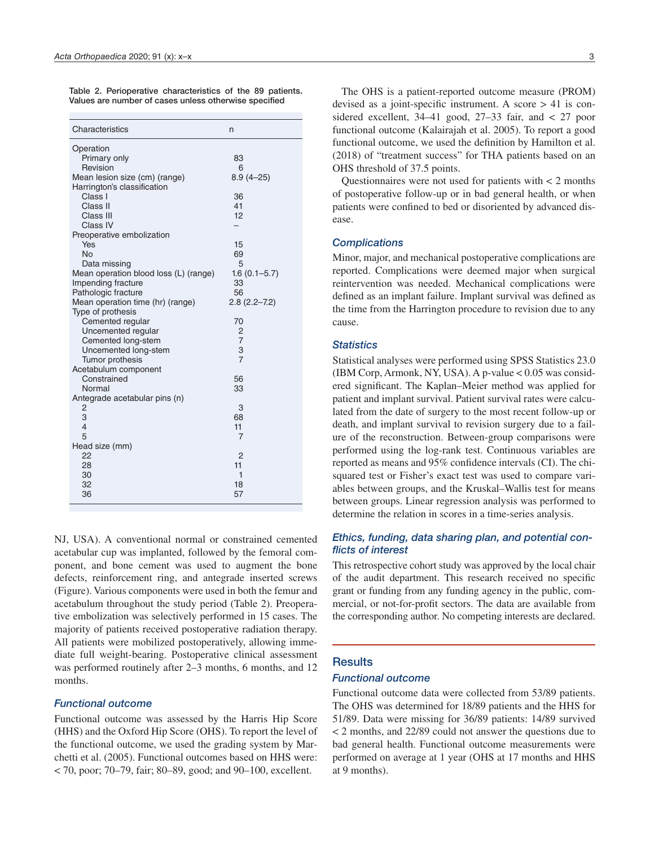| Characteristics                         | n                   |
|-----------------------------------------|---------------------|
| Operation                               |                     |
| Primary only                            | 83                  |
| Revision                                | 6                   |
| Mean lesion size (cm) (range)           | $8.9(4 - 25)$       |
| Harrington's classification             |                     |
| Class I                                 | 36                  |
| Class II                                | 41                  |
| Class III                               | 12                  |
| Class IV<br>Preoperative embolization   |                     |
| Yes                                     | 15                  |
| <b>No</b>                               | 69                  |
| Data missing                            | 5                   |
| Mean operation blood loss (L) (range)   | $1.6(0.1 - 5.7)$    |
| Impending fracture                      | 33                  |
| Pathologic fracture                     | 56                  |
| Mean operation time (hr) (range)        | $2.8(2.2 - 7.2)$    |
| Type of prothesis                       |                     |
| Cemented regular                        | 70                  |
| Uncemented regular                      | 2                   |
| Cemented long-stem                      | $\overline{7}$      |
| Uncemented long-stem                    | З<br>$\overline{7}$ |
| Tumor prothesis<br>Acetabulum component |                     |
| Constrained                             | 56                  |
| Normal                                  | 33                  |
| Antegrade acetabular pins (n)           |                     |
| 2                                       | 3                   |
| 3                                       | 68                  |
| $\overline{4}$                          | 11                  |
| 5                                       | 7                   |
| Head size (mm)                          |                     |
| 22                                      | 2                   |
| 28                                      | 11                  |
| 30                                      | 1                   |
| 32<br>36                                | 18<br>57            |
|                                         |                     |

Table 2. Perioperative characteristics of the 89 patients. Values are number of cases unless otherwise specified

NJ, USA). A conventional normal or constrained cemented acetabular cup was implanted, followed by the femoral component, and bone cement was used to augment the bone defects, reinforcement ring, and antegrade inserted screws (Figure). Various components were used in both the femur and acetabulum throughout the study period (Table 2). Preoperative embolization was selectively performed in 15 cases. The majority of patients received postoperative radiation therapy. All patients were mobilized postoperatively, allowing immediate full weight-bearing. Postoperative clinical assessment was performed routinely after 2–3 months, 6 months, and 12 months.

#### *Functional outcome*

Functional outcome was assessed by the Harris Hip Score (HHS) and the Oxford Hip Score (OHS). To report the level of the functional outcome, we used the grading system by Marchetti et al. (2005). Functional outcomes based on HHS were:  $<$  70, poor; 70–79, fair; 80–89, good; and 90–100, excellent.

The OHS is a patient-reported outcome measure (PROM) devised as a joint-specific instrument. A score > 41 is considered excellent, 34–41 good, 27–33 fair, and < 27 poor functional outcome (Kalairajah et al. 2005). To report a good functional outcome, we used the definition by Hamilton et al. (2018) of "treatment success" for THA patients based on an OHS threshold of 37.5 points.

Questionnaires were not used for patients with < 2 months of postoperative follow-up or in bad general health, or when patients were confined to bed or disoriented by advanced disease.

#### *Complications*

Minor, major, and mechanical postoperative complications are reported. Complications were deemed major when surgical reintervention was needed. Mechanical complications were defined as an implant failure. Implant survival was defined as the time from the Harrington procedure to revision due to any cause.

#### *Statistics*

Statistical analyses were performed using SPSS Statistics 23.0 (IBM Corp, Armonk, NY, USA). A p-value < 0.05 was considered significant. The Kaplan–Meier method was applied for patient and implant survival. Patient survival rates were calculated from the date of surgery to the most recent follow-up or death, and implant survival to revision surgery due to a failure of the reconstruction. Between-group comparisons were performed using the log-rank test. Continuous variables are reported as means and 95% confidence intervals (CI). The chisquared test or Fisher's exact test was used to compare variables between groups, and the Kruskal–Wallis test for means between groups. Linear regression analysis was performed to determine the relation in scores in a time-series analysis.

#### *Ethics, funding, data sharing plan, and potential conflicts of interest*

This retrospective cohort study was approved by the local chair of the audit department. This research received no specific grant or funding from any funding agency in the public, commercial, or not-for-profit sectors. The data are available from the corresponding author. No competing interests are declared.

## **Results**

#### *Functional outcome*

Functional outcome data were collected from 53/89 patients. The OHS was determined for 18/89 patients and the HHS for 51/89. Data were missing for 36/89 patients: 14/89 survived < 2 months, and 22/89 could not answer the questions due to bad general health. Functional outcome measurements were performed on average at 1 year (OHS at 17 months and HHS at 9 months).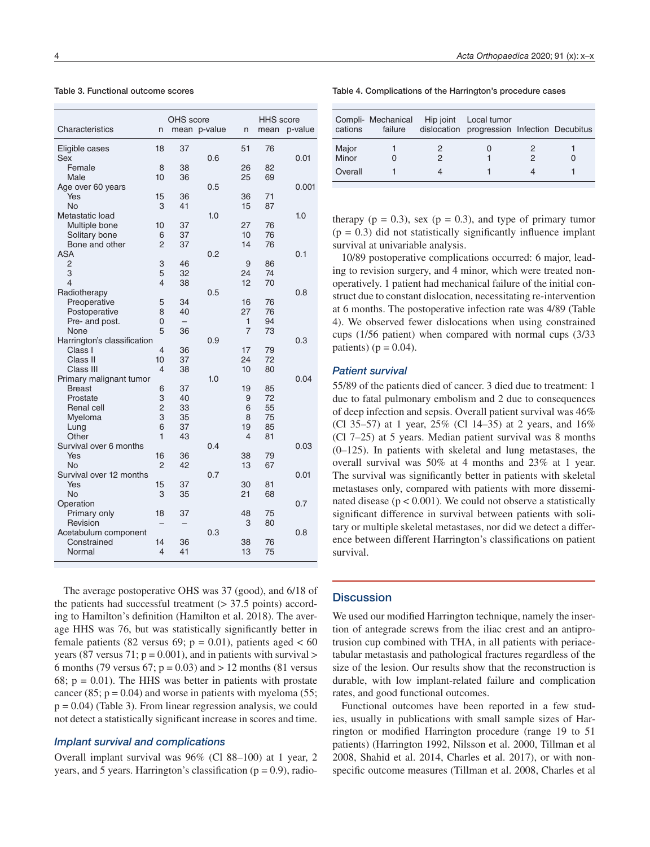Table 3. Functional outcome scores

| Characteristics             | OHS score<br>mean p-value<br>n |                          |     |    | <b>HHS</b> score |         |
|-----------------------------|--------------------------------|--------------------------|-----|----|------------------|---------|
|                             |                                |                          |     | n  | mean             | p-value |
| Eligible cases              | 18                             | 37                       |     | 51 | 76               |         |
| Sex                         |                                |                          | 0.6 |    |                  | 0.01    |
| Female                      | 8                              | 38                       |     | 26 | 82               |         |
| Male                        | 10                             | 36                       |     | 25 | 69               |         |
| Age over 60 years           |                                |                          | 0.5 |    |                  | 0.001   |
| Yes                         | 15                             | 36                       |     | 36 | 71               |         |
| <b>No</b>                   | 3                              | 41                       |     | 15 | 87               |         |
| Metastatic load             |                                |                          | 1.0 |    |                  | 1.0     |
| Multiple bone               | 10                             | 37                       |     | 27 | 76               |         |
| Solitary bone               | 6                              | 37                       |     | 10 | 76               |         |
| Bone and other              | $\overline{2}$                 | 37                       |     | 14 | 76               |         |
| <b>ASA</b>                  |                                |                          | 0.2 |    |                  | 0.1     |
| $\overline{2}$              | 3                              | 46                       |     | 9  | 86               |         |
| 3                           | 5                              | 32                       |     | 24 | 74               |         |
| $\overline{\mathcal{L}}$    | 4                              | 38                       |     | 12 | 70               |         |
| Radiotherapy                |                                |                          | 0.5 |    |                  | 0.8     |
| Preoperative                | 5                              | 34                       |     | 16 | 76               |         |
| Postoperative               | 8                              | 40                       |     | 27 | 76               |         |
| Pre- and post.              | 0                              | $\overline{\phantom{m}}$ |     | 1  | 94               |         |
| None                        | 5                              | 36                       |     | 7  | 73               |         |
| Harrington's classification |                                |                          | 0.9 |    |                  | 0.3     |
| Class I                     | 4                              | 36                       |     | 17 | 79               |         |
| Class II                    | 10                             | 37                       |     | 24 | 72               |         |
| Class III                   | 4                              | 38                       |     | 10 | 80               |         |
| Primary malignant tumor     |                                |                          | 1.0 |    |                  | 0.04    |
| <b>Breast</b>               | 6                              | 37                       |     | 19 | 85               |         |
| Prostate                    | 3                              | 40                       |     | 9  | 72               |         |
| <b>Renal cell</b>           | $\overline{2}$                 | 33                       |     | 6  | 55               |         |
| Myeloma                     | 3                              | 35                       |     | 8  | 75               |         |
| Lung                        | 6                              | 37                       |     | 19 | 85               |         |
| Other                       | 1                              | 43                       |     | 4  | 81               |         |
| Survival over 6 months      |                                |                          | 0.4 |    |                  | 0.03    |
| Yes<br><b>No</b>            | 16<br>$\overline{2}$           | 36<br>42                 |     | 38 | 79               |         |
| Survival over 12 months     |                                |                          | 0.7 | 13 | 67               | 0.01    |
| Yes                         | 15                             | 37                       |     | 30 | 81               |         |
| <b>No</b>                   | 3                              | 35                       |     | 21 | 68               |         |
| Operation                   |                                |                          |     |    |                  | 0.7     |
| Primary only                | 18                             | 37                       |     | 48 | 75               |         |
| Revision                    |                                |                          |     | 3  | 80               |         |
| Acetabulum component        |                                |                          | 0.3 |    |                  | 0.8     |
| Constrained                 | 14                             | 36                       |     | 38 | 76               |         |
| Normal                      | 4                              | 41                       |     | 13 | 75               |         |
|                             |                                |                          |     |    |                  |         |

The average postoperative OHS was 37 (good), and 6/18 of the patients had successful treatment  $(> 37.5 \text{ points})$  according to Hamilton's definition (Hamilton et al. 2018). The average HHS was 76, but was statistically significantly better in female patients (82 versus 69;  $p = 0.01$ ), patients aged < 60 years (87 versus 71;  $p = 0.001$ ), and in patients with survival  $>$ 6 months (79 versus 67;  $p = 0.03$ ) and  $> 12$  months (81 versus 68;  $p = 0.01$ ). The HHS was better in patients with prostate cancer (85;  $p = 0.04$ ) and worse in patients with myeloma (55;  $p = 0.04$ ) (Table 3). From linear regression analysis, we could not detect a statistically significant increase in scores and time.

#### *Implant survival and complications*

Overall implant survival was 96% (Cl 88–100) at 1 year, 2 years, and 5 years. Harrington's classification ( $p = 0.9$ ), radio-

| Table 4. Complications of the Harrington's procedure cases |  |  |  |  |
|------------------------------------------------------------|--|--|--|--|
|------------------------------------------------------------|--|--|--|--|

|                | cations | Compli- Mechanical<br>failure | Hip joint | Local tumor<br>dislocation progression Infection Decubitus |  |
|----------------|---------|-------------------------------|-----------|------------------------------------------------------------|--|
| Major<br>Minor |         |                               |           |                                                            |  |
| Overall        |         |                               |           |                                                            |  |

therapy ( $p = 0.3$ ), sex ( $p = 0.3$ ), and type of primary tumor  $(p = 0.3)$  did not statistically significantly influence implant survival at univariable analysis.

10/89 postoperative complications occurred: 6 major, leading to revision surgery, and 4 minor, which were treated nonoperatively. 1 patient had mechanical failure of the initial construct due to constant dislocation, necessitating re-intervention at 6 months. The postoperative infection rate was 4/89 (Table 4). We observed fewer dislocations when using constrained cups (1/56 patient) when compared with normal cups (3/33 patients) ( $p = 0.04$ ).

#### *Patient survival*

55/89 of the patients died of cancer. 3 died due to treatment: 1 due to fatal pulmonary embolism and 2 due to consequences of deep infection and sepsis. Overall patient survival was 46% (Cl 35–57) at 1 year, 25% (Cl 14–35) at 2 years, and 16% (Cl 7–25) at 5 years. Median patient survival was 8 months (0–125). In patients with skeletal and lung metastases, the overall survival was 50% at 4 months and 23% at 1 year. The survival was significantly better in patients with skeletal metastases only, compared with patients with more disseminated disease  $(p < 0.001)$ . We could not observe a statistically significant difference in survival between patients with solitary or multiple skeletal metastases, nor did we detect a difference between different Harrington's classifications on patient survival.

#### **Discussion**

We used our modified Harrington technique, namely the insertion of antegrade screws from the iliac crest and an antiprotrusion cup combined with THA, in all patients with periacetabular metastasis and pathological fractures regardless of the size of the lesion. Our results show that the reconstruction is durable, with low implant-related failure and complication rates, and good functional outcomes.

Functional outcomes have been reported in a few studies, usually in publications with small sample sizes of Harrington or modified Harrington procedure (range 19 to 51 patients) (Harrington 1992, Nilsson et al. 2000, Tillman et al 2008, Shahid et al. 2014, Charles et al. 2017), or with nonspecific outcome measures (Tillman et al. 2008, Charles et al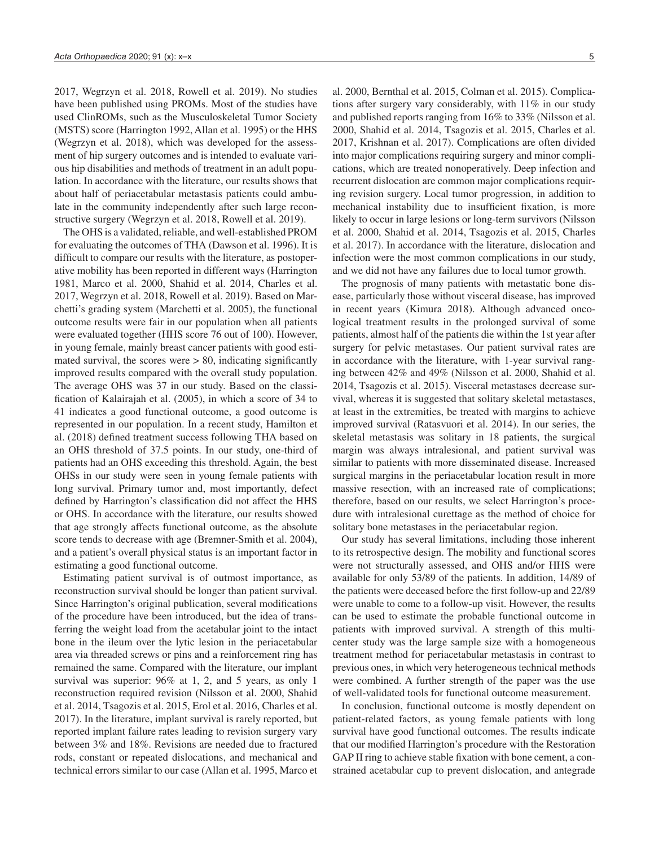2017, Wegrzyn et al. 2018, Rowell et al. 2019). No studies have been published using PROMs. Most of the studies have used ClinROMs, such as the Musculoskeletal Tumor Society (MSTS) score (Harrington 1992, Allan et al. 1995) or the HHS (Wegrzyn et al. 2018), which was developed for the assessment of hip surgery outcomes and is intended to evaluate various hip disabilities and methods of treatment in an adult population. In accordance with the literature, our results shows that about half of periacetabular metastasis patients could ambulate in the community independently after such large reconstructive surgery (Wegrzyn et al. 2018, Rowell et al. 2019).

The OHS is a validated, reliable, and well-established PROM for evaluating the outcomes of THA (Dawson et al. 1996). It is difficult to compare our results with the literature, as postoperative mobility has been reported in different ways (Harrington 1981, Marco et al. 2000, Shahid et al. 2014, Charles et al. 2017, Wegrzyn et al. 2018, Rowell et al. 2019). Based on Marchetti's grading system (Marchetti et al. 2005), the functional outcome results were fair in our population when all patients were evaluated together (HHS score 76 out of 100). However, in young female, mainly breast cancer patients with good estimated survival, the scores were  $> 80$ , indicating significantly improved results compared with the overall study population. The average OHS was 37 in our study. Based on the classification of Kalairajah et al. (2005), in which a score of 34 to 41 indicates a good functional outcome, a good outcome is represented in our population. In a recent study, Hamilton et al. (2018) defined treatment success following THA based on an OHS threshold of 37.5 points. In our study, one-third of patients had an OHS exceeding this threshold. Again, the best OHSs in our study were seen in young female patients with long survival. Primary tumor and, most importantly, defect defined by Harrington's classification did not affect the HHS or OHS. In accordance with the literature, our results showed that age strongly affects functional outcome, as the absolute score tends to decrease with age (Bremner-Smith et al. 2004), and a patient's overall physical status is an important factor in estimating a good functional outcome.

Estimating patient survival is of outmost importance, as reconstruction survival should be longer than patient survival. Since Harrington's original publication, several modifications of the procedure have been introduced, but the idea of transferring the weight load from the acetabular joint to the intact bone in the ileum over the lytic lesion in the periacetabular area via threaded screws or pins and a reinforcement ring has remained the same. Compared with the literature, our implant survival was superior: 96% at 1, 2, and 5 years, as only 1 reconstruction required revision (Nilsson et al. 2000, Shahid et al. 2014, Tsagozis et al. 2015, Erol et al. 2016, Charles et al. 2017). In the literature, implant survival is rarely reported, but reported implant failure rates leading to revision surgery vary between 3% and 18%. Revisions are needed due to fractured rods, constant or repeated dislocations, and mechanical and technical errors similar to our case (Allan et al. 1995, Marco et

al. 2000, Bernthal et al. 2015, Colman et al. 2015). Complications after surgery vary considerably, with 11% in our study and published reports ranging from 16% to 33% (Nilsson et al. 2000, Shahid et al. 2014, Tsagozis et al. 2015, Charles et al. 2017, Krishnan et al. 2017). Complications are often divided into major complications requiring surgery and minor complications, which are treated nonoperatively. Deep infection and recurrent dislocation are common major complications requiring revision surgery. Local tumor progression, in addition to mechanical instability due to insufficient fixation, is more likely to occur in large lesions or long-term survivors (Nilsson et al. 2000, Shahid et al. 2014, Tsagozis et al. 2015, Charles et al. 2017). In accordance with the literature, dislocation and infection were the most common complications in our study, and we did not have any failures due to local tumor growth.

The prognosis of many patients with metastatic bone disease, particularly those without visceral disease, has improved in recent years (Kimura 2018). Although advanced oncological treatment results in the prolonged survival of some patients, almost half of the patients die within the 1st year after surgery for pelvic metastases. Our patient survival rates are in accordance with the literature, with 1-year survival ranging between 42% and 49% (Nilsson et al. 2000, Shahid et al. 2014, Tsagozis et al. 2015). Visceral metastases decrease survival, whereas it is suggested that solitary skeletal metastases, at least in the extremities, be treated with margins to achieve improved survival (Ratasvuori et al. 2014). In our series, the skeletal metastasis was solitary in 18 patients, the surgical margin was always intralesional, and patient survival was similar to patients with more disseminated disease. Increased surgical margins in the periacetabular location result in more massive resection, with an increased rate of complications; therefore, based on our results, we select Harrington's procedure with intralesional curettage as the method of choice for solitary bone metastases in the periacetabular region.

Our study has several limitations, including those inherent to its retrospective design. The mobility and functional scores were not structurally assessed, and OHS and/or HHS were available for only 53/89 of the patients. In addition, 14/89 of the patients were deceased before the first follow-up and 22/89 were unable to come to a follow-up visit. However, the results can be used to estimate the probable functional outcome in patients with improved survival. A strength of this multicenter study was the large sample size with a homogeneous treatment method for periacetabular metastasis in contrast to previous ones, in which very heterogeneous technical methods were combined. A further strength of the paper was the use of well-validated tools for functional outcome measurement.

In conclusion, functional outcome is mostly dependent on patient-related factors, as young female patients with long survival have good functional outcomes. The results indicate that our modified Harrington's procedure with the Restoration GAP II ring to achieve stable fixation with bone cement, a constrained acetabular cup to prevent dislocation, and antegrade